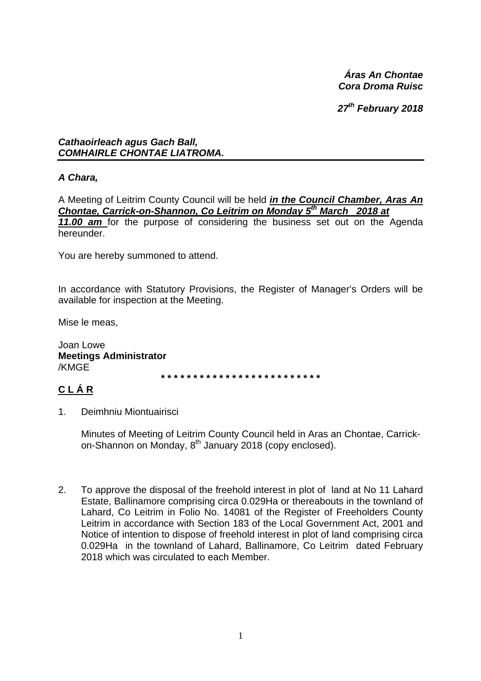*Áras An Chontae Cora Droma Ruisc* 

*27th February 2018* 

*Cathaoirleach agus Gach Ball, COMHAIRLE CHONTAE LIATROMA.* 

# *A Chara,*

A Meeting of Leitrim County Council will be held *in the Council Chamber, Aras An Chontae, Carrick-on-Shannon, Co Leitrim on Monday 5th March 2018 at 11.00 am* for the purpose of considering the business set out on the Agenda hereunder.

You are hereby summoned to attend.

In accordance with Statutory Provisions, the Register of Manager's Orders will be available for inspection at the Meeting.

Mise le meas,

Joan Lowe **Meetings Administrator**  /KMGE

**\* \* \* \* \* \* \* \* \* \* \* \* \* \* \* \* \* \* \* \* \* \* \* \* \*** 

# **C L Á R**

1. Deimhniu Miontuairisci

Minutes of Meeting of Leitrim County Council held in Aras an Chontae, Carrickon-Shannon on Monday, 8<sup>th</sup> January 2018 (copy enclosed).

2. To approve the disposal of the freehold interest in plot of land at No 11 Lahard Estate, Ballinamore comprising circa 0.029Ha or thereabouts in the townland of Lahard, Co Leitrim in Folio No. 14081 of the Register of Freeholders County Leitrim in accordance with Section 183 of the Local Government Act, 2001 and Notice of intention to dispose of freehold interest in plot of land comprising circa 0.029Ha in the townland of Lahard, Ballinamore, Co Leitrim dated February 2018 which was circulated to each Member.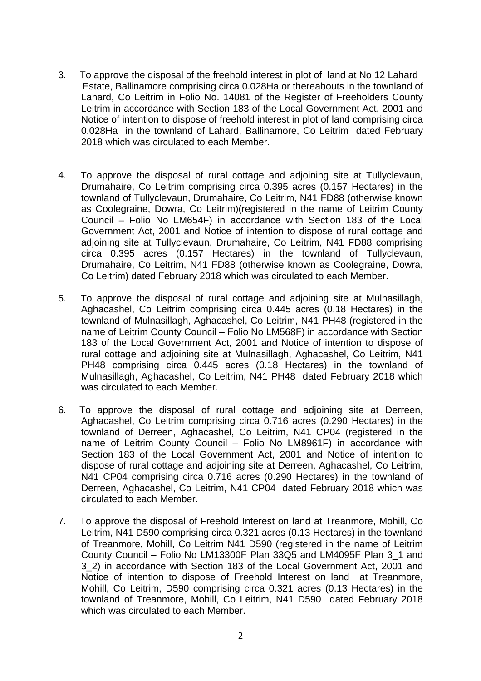- 3. To approve the disposal of the freehold interest in plot of land at No 12 Lahard Estate, Ballinamore comprising circa 0.028Ha or thereabouts in the townland of Lahard, Co Leitrim in Folio No. 14081 of the Register of Freeholders County Leitrim in accordance with Section 183 of the Local Government Act, 2001 and Notice of intention to dispose of freehold interest in plot of land comprising circa 0.028Ha in the townland of Lahard, Ballinamore, Co Leitrim dated February 2018 which was circulated to each Member.
- 4. To approve the disposal of rural cottage and adjoining site at Tullyclevaun, Drumahaire, Co Leitrim comprising circa 0.395 acres (0.157 Hectares) in the townland of Tullyclevaun, Drumahaire, Co Leitrim, N41 FD88 (otherwise known as Coolegraine, Dowra, Co Leitrim)(registered in the name of Leitrim County Council – Folio No LM654F) in accordance with Section 183 of the Local Government Act, 2001 and Notice of intention to dispose of rural cottage and adjoining site at Tullyclevaun, Drumahaire, Co Leitrim, N41 FD88 comprising circa 0.395 acres (0.157 Hectares) in the townland of Tullyclevaun, Drumahaire, Co Leitrim, N41 FD88 (otherwise known as Coolegraine, Dowra, Co Leitrim) dated February 2018 which was circulated to each Member.
- 5. To approve the disposal of rural cottage and adjoining site at Mulnasillagh, Aghacashel, Co Leitrim comprising circa 0.445 acres (0.18 Hectares) in the townland of Mulnasillagh, Aghacashel, Co Leitrim, N41 PH48 (registered in the name of Leitrim County Council – Folio No LM568F) in accordance with Section 183 of the Local Government Act, 2001 and Notice of intention to dispose of rural cottage and adjoining site at Mulnasillagh, Aghacashel, Co Leitrim, N41 PH48 comprising circa 0.445 acres (0.18 Hectares) in the townland of Mulnasillagh, Aghacashel, Co Leitrim, N41 PH48 dated February 2018 which was circulated to each Member.
- 6. To approve the disposal of rural cottage and adjoining site at Derreen, Aghacashel, Co Leitrim comprising circa 0.716 acres (0.290 Hectares) in the townland of Derreen, Aghacashel, Co Leitrim, N41 CP04 (registered in the name of Leitrim County Council – Folio No LM8961F) in accordance with Section 183 of the Local Government Act, 2001 and Notice of intention to dispose of rural cottage and adjoining site at Derreen, Aghacashel, Co Leitrim, N41 CP04 comprising circa 0.716 acres (0.290 Hectares) in the townland of Derreen, Aghacashel, Co Leitrim, N41 CP04 dated February 2018 which was circulated to each Member.
- 7. To approve the disposal of Freehold Interest on land at Treanmore, Mohill, Co Leitrim, N41 D590 comprising circa 0.321 acres (0.13 Hectares) in the townland of Treanmore, Mohill, Co Leitrim N41 D590 (registered in the name of Leitrim County Council – Folio No LM13300F Plan 33Q5 and LM4095F Plan 3\_1 and 3\_2) in accordance with Section 183 of the Local Government Act, 2001 and Notice of intention to dispose of Freehold Interest on land at Treanmore, Mohill, Co Leitrim, D590 comprising circa 0.321 acres (0.13 Hectares) in the townland of Treanmore, Mohill, Co Leitrim, N41 D590 dated February 2018 which was circulated to each Member.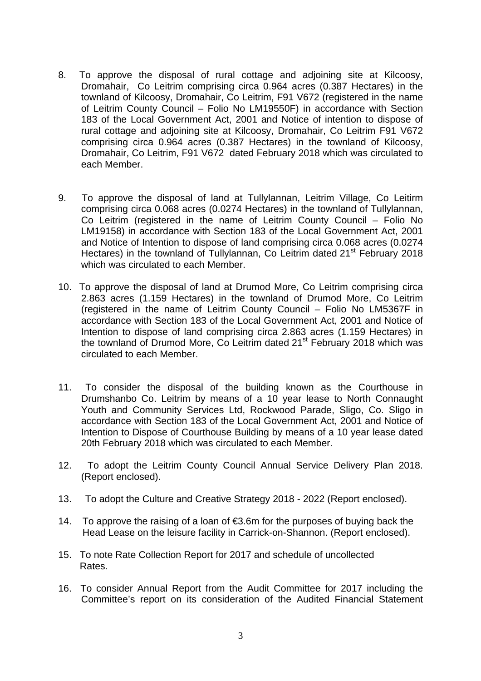- 8. To approve the disposal of rural cottage and adjoining site at Kilcoosy, Dromahair, Co Leitrim comprising circa 0.964 acres (0.387 Hectares) in the townland of Kilcoosy, Dromahair, Co Leitrim, F91 V672 (registered in the name of Leitrim County Council – Folio No LM19550F) in accordance with Section 183 of the Local Government Act, 2001 and Notice of intention to dispose of rural cottage and adjoining site at Kilcoosy, Dromahair, Co Leitrim F91 V672 comprising circa 0.964 acres (0.387 Hectares) in the townland of Kilcoosy, Dromahair, Co Leitrim, F91 V672 dated February 2018 which was circulated to each Member.
- 9. To approve the disposal of land at Tullylannan, Leitrim Village, Co Leitirm comprising circa 0.068 acres (0.0274 Hectares) in the townland of Tullylannan, Co Leitrim (registered in the name of Leitrim County Council – Folio No LM19158) in accordance with Section 183 of the Local Government Act, 2001 and Notice of Intention to dispose of land comprising circa 0.068 acres (0.0274 Hectares) in the townland of Tullylannan, Co Leitrim dated 21<sup>st</sup> February 2018 which was circulated to each Member.
- 10. To approve the disposal of land at Drumod More, Co Leitrim comprising circa 2.863 acres (1.159 Hectares) in the townland of Drumod More, Co Leitrim (registered in the name of Leitrim County Council – Folio No LM5367F in accordance with Section 183 of the Local Government Act, 2001 and Notice of Intention to dispose of land comprising circa 2.863 acres (1.159 Hectares) in the townland of Drumod More, Co Leitrim dated 21<sup>st</sup> February 2018 which was circulated to each Member.
- 11. To consider the disposal of the building known as the Courthouse in Drumshanbo Co. Leitrim by means of a 10 year lease to North Connaught Youth and Community Services Ltd, Rockwood Parade, Sligo, Co. Sligo in accordance with Section 183 of the Local Government Act, 2001 and Notice of Intention to Dispose of Courthouse Building by means of a 10 year lease dated 20th February 2018 which was circulated to each Member.
- 12. To adopt the Leitrim County Council Annual Service Delivery Plan 2018. (Report enclosed).
- 13. To adopt the Culture and Creative Strategy 2018 2022 (Report enclosed).
- 14. To approve the raising of a loan of €3.6m for the purposes of buying back the Head Lease on the leisure facility in Carrick-on-Shannon. (Report enclosed).
- 15. To note Rate Collection Report for 2017 and schedule of uncollected Rates.
- 16. To consider Annual Report from the Audit Committee for 2017 including the Committee's report on its consideration of the Audited Financial Statement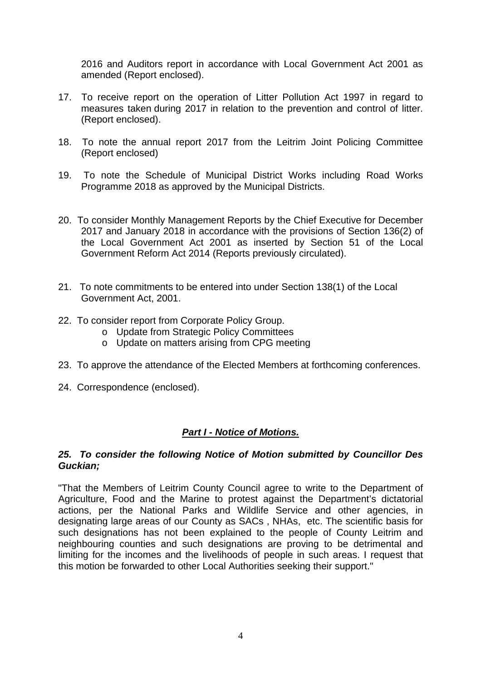2016 and Auditors report in accordance with Local Government Act 2001 as amended (Report enclosed).

- 17. To receive report on the operation of Litter Pollution Act 1997 in regard to measures taken during 2017 in relation to the prevention and control of litter. (Report enclosed).
- 18. To note the annual report 2017 from the Leitrim Joint Policing Committee (Report enclosed)
- 19. To note the Schedule of Municipal District Works including Road Works Programme 2018 as approved by the Municipal Districts.
- 20. To consider Monthly Management Reports by the Chief Executive for December 2017 and January 2018 in accordance with the provisions of Section 136(2) of the Local Government Act 2001 as inserted by Section 51 of the Local Government Reform Act 2014 (Reports previously circulated).
- 21. To note commitments to be entered into under Section 138(1) of the Local Government Act, 2001.
- 22. To consider report from Corporate Policy Group.
	- o Update from Strategic Policy Committees
	- o Update on matters arising from CPG meeting
- 23. To approve the attendance of the Elected Members at forthcoming conferences.
- 24. Correspondence (enclosed).

### *Part I - Notice of Motions.*

#### *25. To consider the following Notice of Motion submitted by Councillor Des Guckian;*

"That the Members of Leitrim County Council agree to write to the Department of Agriculture, Food and the Marine to protest against the Department's dictatorial actions, per the National Parks and Wildlife Service and other agencies, in designating large areas of our County as SACs , NHAs, etc. The scientific basis for such designations has not been explained to the people of County Leitrim and neighbouring counties and such designations are proving to be detrimental and limiting for the incomes and the livelihoods of people in such areas. I request that this motion be forwarded to other Local Authorities seeking their support."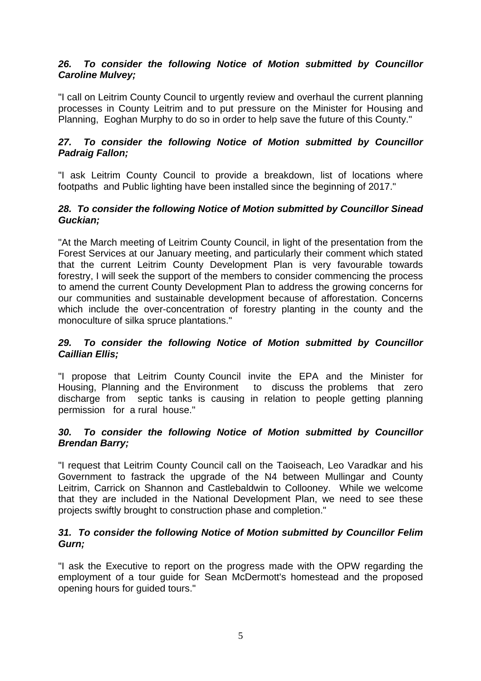# *26. To consider the following Notice of Motion submitted by Councillor Caroline Mulvey;*

"I call on Leitrim County Council to urgently review and overhaul the current planning processes in County Leitrim and to put pressure on the Minister for Housing and Planning, Eoghan Murphy to do so in order to help save the future of this County."

# *27. To consider the following Notice of Motion submitted by Councillor Padraig Fallon;*

"I ask Leitrim County Council to provide a breakdown, list of locations where footpaths and Public lighting have been installed since the beginning of 2017."

### *28. To consider the following Notice of Motion submitted by Councillor Sinead Guckian;*

"At the March meeting of Leitrim County Council, in light of the presentation from the Forest Services at our January meeting, and particularly their comment which stated that the current Leitrim County Development Plan is very favourable towards forestry, I will seek the support of the members to consider commencing the process to amend the current County Development Plan to address the growing concerns for our communities and sustainable development because of afforestation. Concerns which include the over-concentration of forestry planting in the county and the monoculture of silka spruce plantations."

### *29. To consider the following Notice of Motion submitted by Councillor Caillian Ellis;*

"I propose that Leitrim County Council invite the EPA and the Minister for Housing, Planning and the Environment to discuss the problems that zero discharge from septic tanks is causing in relation to people getting planning permission for a rural house."

# *30. To consider the following Notice of Motion submitted by Councillor Brendan Barry;*

"I request that Leitrim County Council call on the Taoiseach, Leo Varadkar and his Government to fastrack the upgrade of the N4 between Mullingar and County Leitrim, Carrick on Shannon and Castlebaldwin to Collooney. While we welcome that they are included in the National Development Plan, we need to see these projects swiftly brought to construction phase and completion."

# *31. To consider the following Notice of Motion submitted by Councillor Felim Gurn;*

"I ask the Executive to report on the progress made with the OPW regarding the employment of a tour guide for Sean McDermott's homestead and the proposed opening hours for guided tours."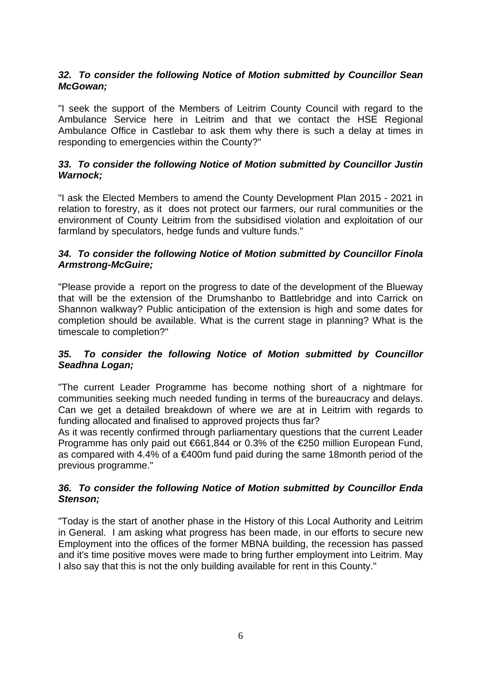# *32. To consider the following Notice of Motion submitted by Councillor Sean McGowan;*

"I seek the support of the Members of Leitrim County Council with regard to the Ambulance Service here in Leitrim and that we contact the HSE Regional Ambulance Office in Castlebar to ask them why there is such a delay at times in responding to emergencies within the County?"

# *33. To consider the following Notice of Motion submitted by Councillor Justin Warnock;*

"I ask the Elected Members to amend the County Development Plan 2015 - 2021 in relation to forestry, as it does not protect our farmers, our rural communities or the environment of County Leitrim from the subsidised violation and exploitation of our farmland by speculators, hedge funds and vulture funds."

# *34. To consider the following Notice of Motion submitted by Councillor Finola Armstrong-McGuire;*

"Please provide a report on the progress to date of the development of the Blueway that will be the extension of the Drumshanbo to Battlebridge and into Carrick on Shannon walkway? Public anticipation of the extension is high and some dates for completion should be available. What is the current stage in planning? What is the timescale to completion?"

# *35. To consider the following Notice of Motion submitted by Councillor Seadhna Logan;*

"The current Leader Programme has become nothing short of a nightmare for communities seeking much needed funding in terms of the bureaucracy and delays. Can we get a detailed breakdown of where we are at in Leitrim with regards to funding allocated and finalised to approved projects thus far?

As it was recently confirmed through parliamentary questions that the current Leader Programme has only paid out €661,844 or 0.3% of the €250 million European Fund, as compared with 4.4% of a €400m fund paid during the same 18month period of the previous programme."

# *36. To consider the following Notice of Motion submitted by Councillor Enda Stenson;*

"Today is the start of another phase in the History of this Local Authority and Leitrim in General. I am asking what progress has been made, in our efforts to secure new Employment into the offices of the former MBNA building, the recession has passed and it's time positive moves were made to bring further employment into Leitrim. May I also say that this is not the only building available for rent in this County."